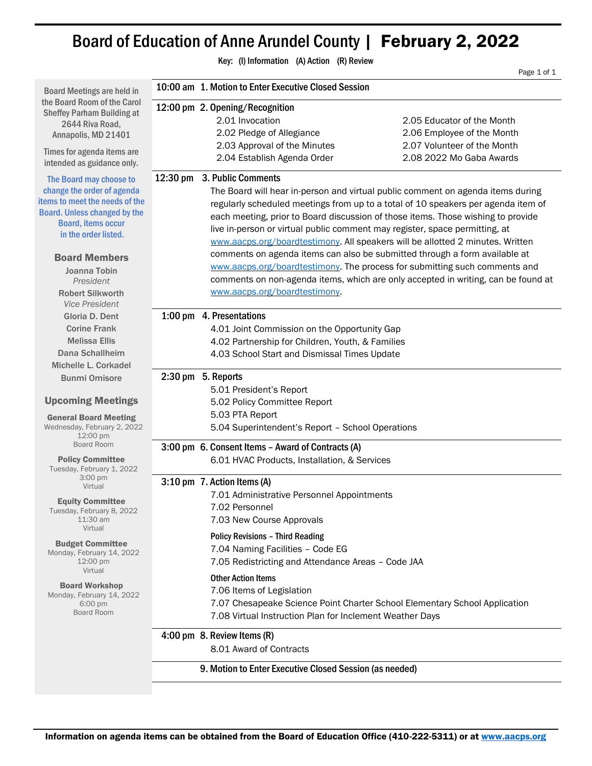# Board of Education of Anne Arundel County | February 2, 2022

Key: (I) Information (A) Action (R) Review Page 1 of 1 Board Meetings are held in the Board Room of the Carol Sheffey Parham Building at 2644 Riva Road, Annapolis, MD 21401 Times for agenda items are intended as guidance only. The Board may choose to change the order of agenda items to meet the needs of the Board. Unless changed by the Board, items occur in the order listed. Board Members Joanna Tobin *President* Robert Silkworth *Vice President* Gloria D. Dent Corine Frank Melissa Ellis Dana Schallheim Michelle L. Corkadel Bunmi Omisore Upcoming Meetings General Board Meeting Wednesday, February 2, 2022 12:00 pm Board Room Policy Committee Tuesday, February 1, 2022 3:00 pm Virtual Equity Committee Tuesday, February 8, 2022 11:30 am Virtual Budget Committee Monday, February 14, 2022 12:00 pm Virtual Board Workshop Monday, February 14, 2022 6:00 pm Board Room 10:00 am 1. Motion to Enter Executive Closed Session 12:00 pm 2. Opening/Recognition 2.01 Invocation 2.05 Educator of the Month 2.02 Pledge of Allegiance 2.06 Employee of the Month 2.03 Approval of the Minutes 2.07 Volunteer of the Month 2.04 Establish Agenda Order 2.08 2022 Mo Gaba Awards 12:30 pm 3. Public Comments The Board will hear in-person and virtual public comment on agenda items during regularly scheduled meetings from up to a total of 10 speakers per agenda item of each meeting, prior to Board discussion of those items. Those wishing to provide live in-person or virtual public comment may register, space permitting, at [www.aacps.org/boardtestimony.](http://www.aacps.org/boardtestimony) All speakers will be allotted 2 minutes. Written comments on agenda items can also be submitted through a form available at [www.aacps.org/boardtestimony.](http://www.aacps.org/boardtestimony) The process for submitting such comments and comments on non-agenda items, which are only accepted in writing, can be found at [www.aacps.org/boardtestimony.](http://www.aacps.org/boardtestimony) 1:00 pm 4. Presentations 4.01 Joint Commission on the Opportunity Gap 4.02 Partnership for Children, Youth, & Families 4.03 School Start and Dismissal Times Update 2:30 pm 5. Reports 5.01 President's Report 5.02 Policy Committee Report 5.03 PTA Report 5.04 Superintendent's Report – School Operations 3:00 pm 6. Consent Items – Award of Contracts (A) 6.01 HVAC Products, Installation, & Services 3:10 pm 7. Action Items (A) 7.01 Administrative Personnel Appointments 7.02 Personnel 7.03 New Course Approvals Policy Revisions – Third Reading 7.04 Naming Facilities – Code EG 7.05 Redistricting and Attendance Areas – Code JAA Other Action Items 7.06 Items of Legislation 7.07 Chesapeake Science Point Charter School Elementary School Application 7.08 Virtual Instruction Plan for Inclement Weather Days 4:00 pm 8. Review Items (R) 8.01 Award of Contracts 9. Motion to Enter Executive Closed Session (as needed)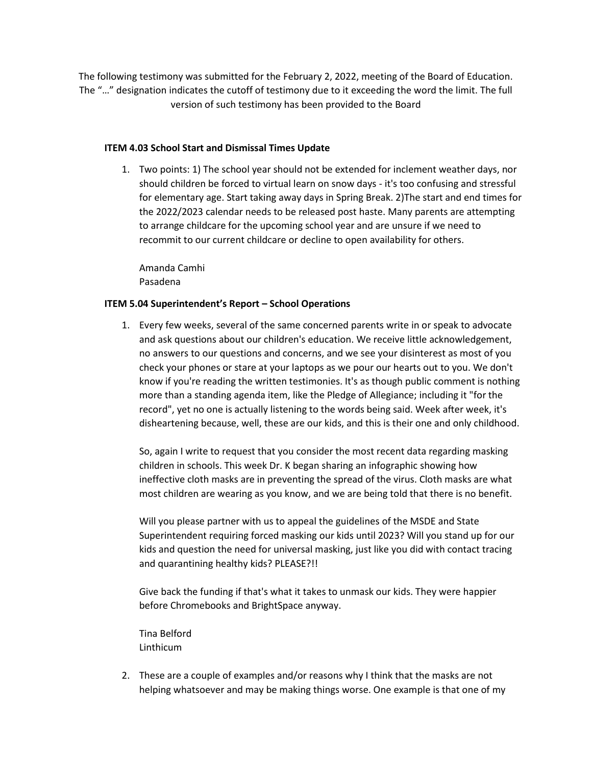The following testimony was submitted for the February 2, 2022, meeting of the Board of Education. The "…" designation indicates the cutoff of testimony due to it exceeding the word the limit. The full version of such testimony has been provided to the Board

### **ITEM 4.03 School Start and Dismissal Times Update**

1. Two points: 1) The school year should not be extended for inclement weather days, nor should children be forced to virtual learn on snow days - it's too confusing and stressful for elementary age. Start taking away days in Spring Break. 2)The start and end times for the 2022/2023 calendar needs to be released post haste. Many parents are attempting to arrange childcare for the upcoming school year and are unsure if we need to recommit to our current childcare or decline to open availability for others.

Amanda Camhi Pasadena

## **ITEM 5.04 Superintendent's Report – School Operations**

1. Every few weeks, several of the same concerned parents write in or speak to advocate and ask questions about our children's education. We receive little acknowledgement, no answers to our questions and concerns, and we see your disinterest as most of you check your phones or stare at your laptops as we pour our hearts out to you. We don't know if you're reading the written testimonies. It's as though public comment is nothing more than a standing agenda item, like the Pledge of Allegiance; including it "for the record", yet no one is actually listening to the words being said. Week after week, it's disheartening because, well, these are our kids, and this is their one and only childhood.

So, again I write to request that you consider the most recent data regarding masking children in schools. This week Dr. K began sharing an infographic showing how ineffective cloth masks are in preventing the spread of the virus. Cloth masks are what most children are wearing as you know, and we are being told that there is no benefit.

Will you please partner with us to appeal the guidelines of the MSDE and State Superintendent requiring forced masking our kids until 2023? Will you stand up for our kids and question the need for universal masking, just like you did with contact tracing and quarantining healthy kids? PLEASE?!!

Give back the funding if that's what it takes to unmask our kids. They were happier before Chromebooks and BrightSpace anyway.

Tina Belford Linthicum

2. These are a couple of examples and/or reasons why I think that the masks are not helping whatsoever and may be making things worse. One example is that one of my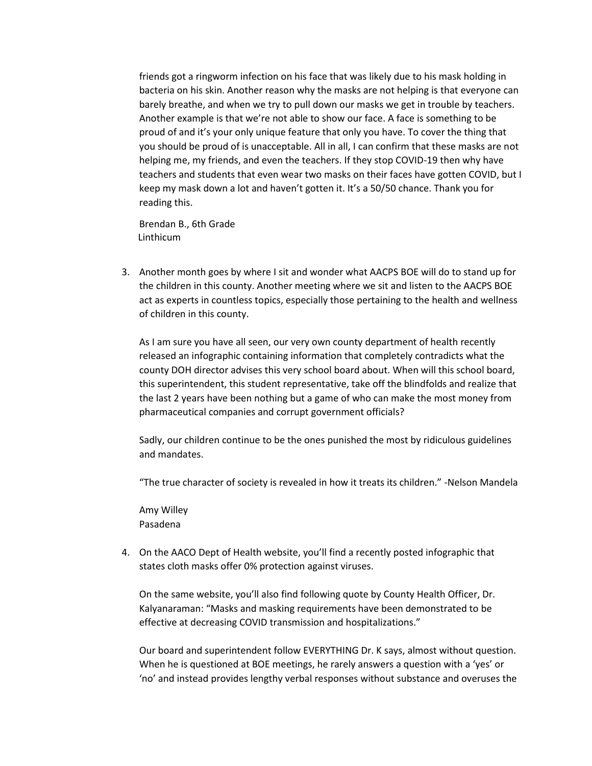friends got a ringworm infection on his face that was likely due to his mask holding in bacteria on his skin. Another reason why the masks are not helping is that everyone can barely breathe, and when we try to pull down our masks we get in trouble by teachers. Another example is that we're not able to show our face. A face is something to be proud of and it's your only unique feature that only you have. To cover the thing that you should be proud of is unacceptable. All in all, I can confirm that these masks are not helping me, my friends, and even the teachers. If they stop COVID-19 then why have teachers and students that even wear two masks on their faces have gotten COVID, but I keep my mask down a lot and haven't gotten it. It's a 50/50 chance. Thank you for reading this.

 Brendan B., 6th Grade Linthicum

3. Another month goes by where I sit and wonder what AACPS BOE will do to stand up for the children in this county. Another meeting where we sit and listen to the AACPS BOE act as experts in countless topics, especially those pertaining to the health and wellness of children in this county.

As I am sure you have all seen, our very own county department of health recently released an infographic containing information that completely contradicts what the county DOH director advises this very school board about. When will this school board, this superintendent, this student representative, take off the blindfolds and realize that the last 2 years have been nothing but a game of who can make the most money from pharmaceutical companies and corrupt government officials?

Sadly, our children continue to be the ones punished the most by ridiculous guidelines and mandates.

"The true character of society is revealed in how it treats its children." -Nelson Mandela

Amy Willey Pasadena

4. On the AACO Dept of Health website, you'll find a recently posted infographic that states cloth masks offer 0% protection against viruses.

On the same website, you'll also find following quote by County Health Officer, Dr. Kalyanaraman: "Masks and masking requirements have been demonstrated to be effective at decreasing COVID transmission and hospitalizations."

Our board and superintendent follow EVERYTHING Dr. K says, almost without question. When he is questioned at BOE meetings, he rarely answers a question with a 'yes' or 'no' and instead provides lengthy verbal responses without substance and overuses the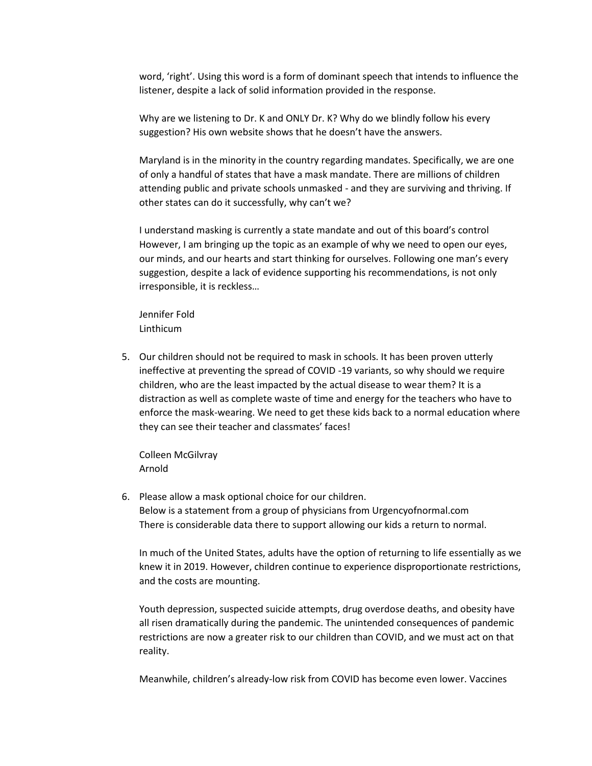word, 'right'. Using this word is a form of dominant speech that intends to influence the listener, despite a lack of solid information provided in the response.

Why are we listening to Dr. K and ONLY Dr. K? Why do we blindly follow his every suggestion? His own website shows that he doesn't have the answers.

Maryland is in the minority in the country regarding mandates. Specifically, we are one of only a handful of states that have a mask mandate. There are millions of children attending public and private schools unmasked - and they are surviving and thriving. If other states can do it successfully, why can't we?

I understand masking is currently a state mandate and out of this board's control However, I am bringing up the topic as an example of why we need to open our eyes, our minds, and our hearts and start thinking for ourselves. Following one man's every suggestion, despite a lack of evidence supporting his recommendations, is not only irresponsible, it is reckless…

Jennifer Fold Linthicum

5. Our children should not be required to mask in schools. It has been proven utterly ineffective at preventing the spread of COVID -19 variants, so why should we require children, who are the least impacted by the actual disease to wear them? It is a distraction as well as complete waste of time and energy for the teachers who have to enforce the mask-wearing. We need to get these kids back to a normal education where they can see their teacher and classmates' faces!

Colleen McGilvray Arnold

6. Please allow a mask optional choice for our children. Below is a statement from a group of physicians from Urgencyofnormal.com There is considerable data there to support allowing our kids a return to normal.

In much of the United States, adults have the option of returning to life essentially as we knew it in 2019. However, children continue to experience disproportionate restrictions, and the costs are mounting.

Youth depression, suspected suicide attempts, drug overdose deaths, and obesity have all risen dramatically during the pandemic. The unintended consequences of pandemic restrictions are now a greater risk to our children than COVID, and we must act on that reality.

Meanwhile, children's already-low risk from COVID has become even lower. Vaccines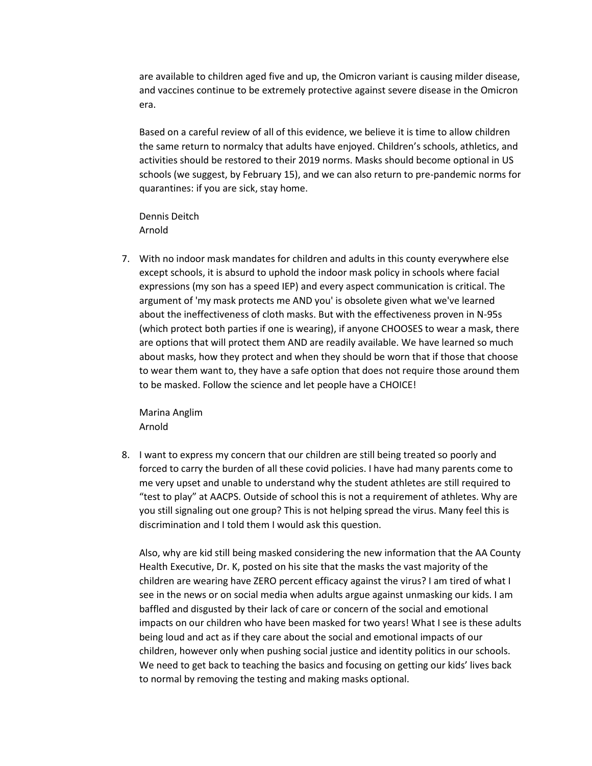are available to children aged five and up, the Omicron variant is causing milder disease, and vaccines continue to be extremely protective against severe disease in the Omicron era.

Based on a careful review of all of this evidence, we believe it is time to allow children the same return to normalcy that adults have enjoyed. Children's schools, athletics, and activities should be restored to their 2019 norms. Masks should become optional in US schools (we suggest, by February 15), and we can also return to pre-pandemic norms for quarantines: if you are sick, stay home.

Dennis Deitch Arnold

7. With no indoor mask mandates for children and adults in this county everywhere else except schools, it is absurd to uphold the indoor mask policy in schools where facial expressions (my son has a speed IEP) and every aspect communication is critical. The argument of 'my mask protects me AND you' is obsolete given what we've learned about the ineffectiveness of cloth masks. But with the effectiveness proven in N-95s (which protect both parties if one is wearing), if anyone CHOOSES to wear a mask, there are options that will protect them AND are readily available. We have learned so much about masks, how they protect and when they should be worn that if those that choose to wear them want to, they have a safe option that does not require those around them to be masked. Follow the science and let people have a CHOICE!

Marina Anglim Arnold

8. I want to express my concern that our children are still being treated so poorly and forced to carry the burden of all these covid policies. I have had many parents come to me very upset and unable to understand why the student athletes are still required to "test to play" at AACPS. Outside of school this is not a requirement of athletes. Why are you still signaling out one group? This is not helping spread the virus. Many feel this is discrimination and I told them I would ask this question.

Also, why are kid still being masked considering the new information that the AA County Health Executive, Dr. K, posted on his site that the masks the vast majority of the children are wearing have ZERO percent efficacy against the virus? I am tired of what I see in the news or on social media when adults argue against unmasking our kids. I am baffled and disgusted by their lack of care or concern of the social and emotional impacts on our children who have been masked for two years! What I see is these adults being loud and act as if they care about the social and emotional impacts of our children, however only when pushing social justice and identity politics in our schools. We need to get back to teaching the basics and focusing on getting our kids' lives back to normal by removing the testing and making masks optional.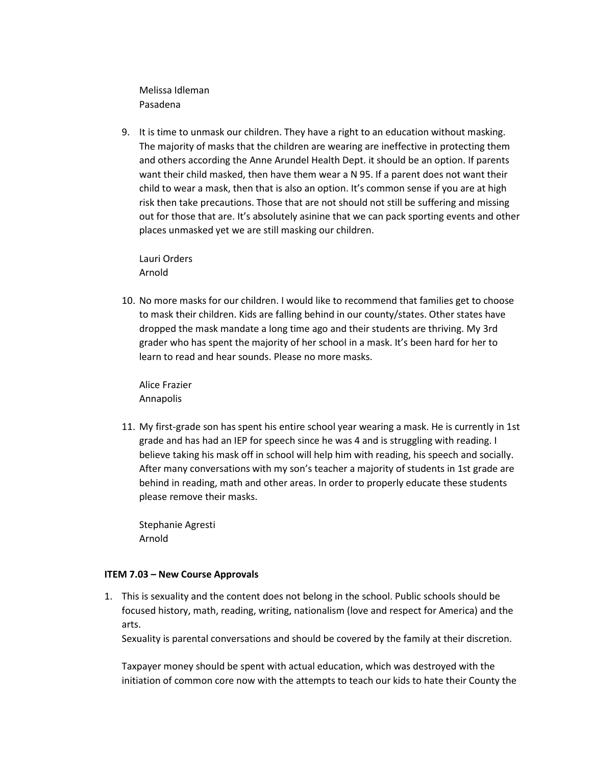Melissa Idleman Pasadena

9. It is time to unmask our children. They have a right to an education without masking. The majority of masks that the children are wearing are ineffective in protecting them and others according the Anne Arundel Health Dept. it should be an option. If parents want their child masked, then have them wear a N 95. If a parent does not want their child to wear a mask, then that is also an option. It's common sense if you are at high risk then take precautions. Those that are not should not still be suffering and missing out for those that are. It's absolutely asinine that we can pack sporting events and other places unmasked yet we are still masking our children.

Lauri Orders Arnold

10. No more masks for our children. I would like to recommend that families get to choose to mask their children. Kids are falling behind in our county/states. Other states have dropped the mask mandate a long time ago and their students are thriving. My 3rd grader who has spent the majority of her school in a mask. It's been hard for her to learn to read and hear sounds. Please no more masks.

Alice Frazier Annapolis

11. My first-grade son has spent his entire school year wearing a mask. He is currently in 1st grade and has had an IEP for speech since he was 4 and is struggling with reading. I believe taking his mask off in school will help him with reading, his speech and socially. After many conversations with my son's teacher a majority of students in 1st grade are behind in reading, math and other areas. In order to properly educate these students please remove their masks.

Stephanie Agresti Arnold

#### **ITEM 7.03 – New Course Approvals**

1. This is sexuality and the content does not belong in the school. Public schools should be focused history, math, reading, writing, nationalism (love and respect for America) and the arts.

Sexuality is parental conversations and should be covered by the family at their discretion.

Taxpayer money should be spent with actual education, which was destroyed with the initiation of common core now with the attempts to teach our kids to hate their County the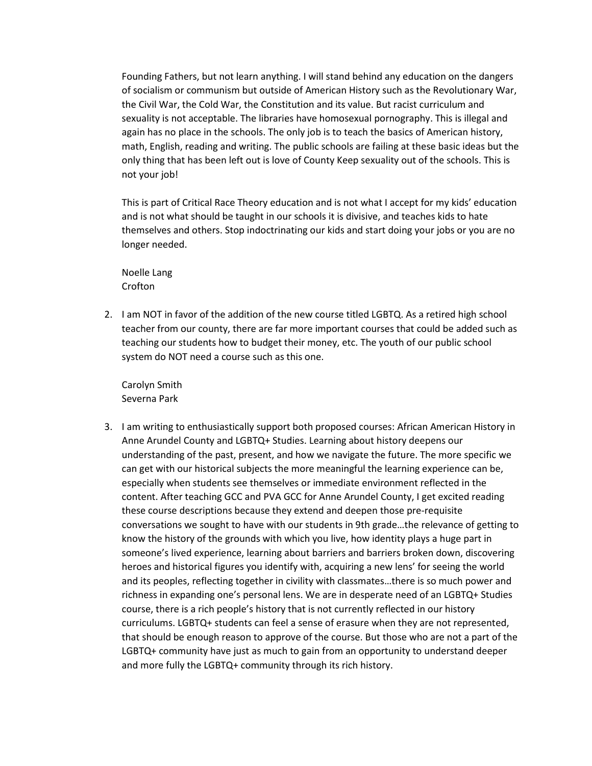Founding Fathers, but not learn anything. I will stand behind any education on the dangers of socialism or communism but outside of American History such as the Revolutionary War, the Civil War, the Cold War, the Constitution and its value. But racist curriculum and sexuality is not acceptable. The libraries have homosexual pornography. This is illegal and again has no place in the schools. The only job is to teach the basics of American history, math, English, reading and writing. The public schools are failing at these basic ideas but the only thing that has been left out is love of County Keep sexuality out of the schools. This is not your job!

This is part of Critical Race Theory education and is not what I accept for my kids' education and is not what should be taught in our schools it is divisive, and teaches kids to hate themselves and others. Stop indoctrinating our kids and start doing your jobs or you are no longer needed.

Noelle Lang Crofton

2. I am NOT in favor of the addition of the new course titled LGBTQ. As a retired high school teacher from our county, there are far more important courses that could be added such as teaching our students how to budget their money, etc. The youth of our public school system do NOT need a course such as this one.

Carolyn Smith Severna Park

3. I am writing to enthusiastically support both proposed courses: African American History in Anne Arundel County and LGBTQ+ Studies. Learning about history deepens our understanding of the past, present, and how we navigate the future. The more specific we can get with our historical subjects the more meaningful the learning experience can be, especially when students see themselves or immediate environment reflected in the content. After teaching GCC and PVA GCC for Anne Arundel County, I get excited reading these course descriptions because they extend and deepen those pre-requisite conversations we sought to have with our students in 9th grade…the relevance of getting to know the history of the grounds with which you live, how identity plays a huge part in someone's lived experience, learning about barriers and barriers broken down, discovering heroes and historical figures you identify with, acquiring a new lens' for seeing the world and its peoples, reflecting together in civility with classmates…there is so much power and richness in expanding one's personal lens. We are in desperate need of an LGBTQ+ Studies course, there is a rich people's history that is not currently reflected in our history curriculums. LGBTQ+ students can feel a sense of erasure when they are not represented, that should be enough reason to approve of the course. But those who are not a part of the LGBTQ+ community have just as much to gain from an opportunity to understand deeper and more fully the LGBTQ+ community through its rich history.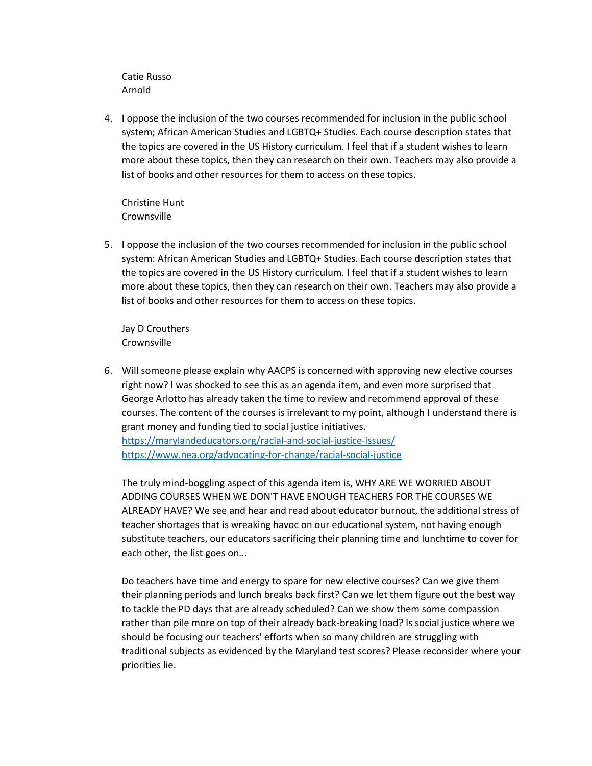Catie Russo Arnold

4. I oppose the inclusion of the two courses recommended for inclusion in the public school system; African American Studies and LGBTQ+ Studies. Each course description states that the topics are covered in the US History curriculum. I feel that if a student wishes to learn more about these topics, then they can research on their own. Teachers may also provide a list of books and other resources for them to access on these topics.

Christine Hunt Crownsville

5. I oppose the inclusion of the two courses recommended for inclusion in the public school system: African American Studies and LGBTQ+ Studies. Each course description states that the topics are covered in the US History curriculum. I feel that if a student wishes to learn more about these topics, then they can research on their own. Teachers may also provide a list of books and other resources for them to access on these topics.

Jay D Crouthers **Crownsville** 

6. Will someone please explain why AACPS is concerned with approving new elective courses right now? I was shocked to see this as an agenda item, and even more surprised that George Arlotto has already taken the time to review and recommend approval of these courses. The content of the courses is irrelevant to my point, although I understand there is grant money and funding tied to social justice initiatives. <https://marylandeducators.org/racial-and-social-justice-issues/>

<https://www.nea.org/advocating-for-change/racial-social-justice>

The truly mind-boggling aspect of this agenda item is, WHY ARE WE WORRIED ABOUT ADDING COURSES WHEN WE DON'T HAVE ENOUGH TEACHERS FOR THE COURSES WE ALREADY HAVE? We see and hear and read about educator burnout, the additional stress of teacher shortages that is wreaking havoc on our educational system, not having enough substitute teachers, our educators sacrificing their planning time and lunchtime to cover for each other, the list goes on...

Do teachers have time and energy to spare for new elective courses? Can we give them their planning periods and lunch breaks back first? Can we let them figure out the best way to tackle the PD days that are already scheduled? Can we show them some compassion rather than pile more on top of their already back-breaking load? Is social justice where we should be focusing our teachers' efforts when so many children are struggling with traditional subjects as evidenced by the Maryland test scores? Please reconsider where your priorities lie.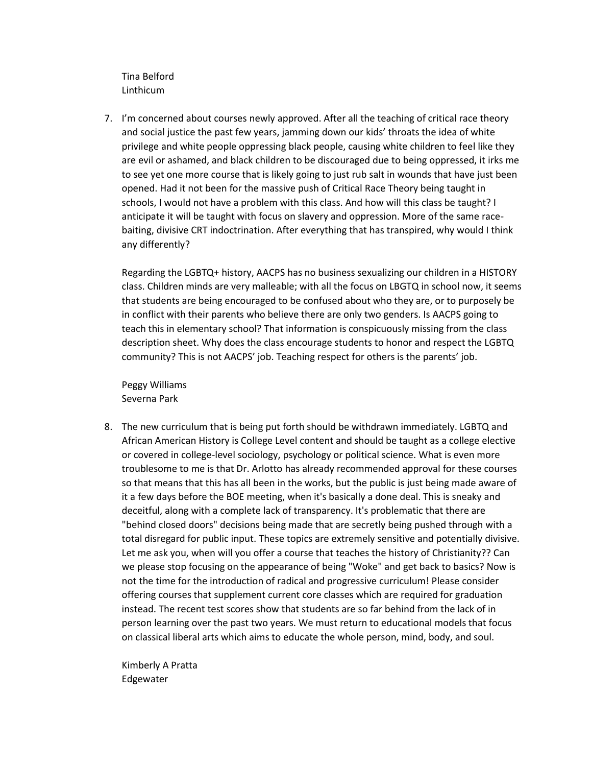Tina Belford Linthicum

7. I'm concerned about courses newly approved. After all the teaching of critical race theory and social justice the past few years, jamming down our kids' throats the idea of white privilege and white people oppressing black people, causing white children to feel like they are evil or ashamed, and black children to be discouraged due to being oppressed, it irks me to see yet one more course that is likely going to just rub salt in wounds that have just been opened. Had it not been for the massive push of Critical Race Theory being taught in schools, I would not have a problem with this class. And how will this class be taught? I anticipate it will be taught with focus on slavery and oppression. More of the same racebaiting, divisive CRT indoctrination. After everything that has transpired, why would I think any differently?

Regarding the LGBTQ+ history, AACPS has no business sexualizing our children in a HISTORY class. Children minds are very malleable; with all the focus on LBGTQ in school now, it seems that students are being encouraged to be confused about who they are, or to purposely be in conflict with their parents who believe there are only two genders. Is AACPS going to teach this in elementary school? That information is conspicuously missing from the class description sheet. Why does the class encourage students to honor and respect the LGBTQ community? This is not AACPS' job. Teaching respect for others is the parents' job.

Peggy Williams Severna Park

8. The new curriculum that is being put forth should be withdrawn immediately. LGBTQ and African American History is College Level content and should be taught as a college elective or covered in college-level sociology, psychology or political science. What is even more troublesome to me is that Dr. Arlotto has already recommended approval for these courses so that means that this has all been in the works, but the public is just being made aware of it a few days before the BOE meeting, when it's basically a done deal. This is sneaky and deceitful, along with a complete lack of transparency. It's problematic that there are "behind closed doors" decisions being made that are secretly being pushed through with a total disregard for public input. These topics are extremely sensitive and potentially divisive. Let me ask you, when will you offer a course that teaches the history of Christianity?? Can we please stop focusing on the appearance of being "Woke" and get back to basics? Now is not the time for the introduction of radical and progressive curriculum! Please consider offering courses that supplement current core classes which are required for graduation instead. The recent test scores show that students are so far behind from the lack of in person learning over the past two years. We must return to educational models that focus on classical liberal arts which aims to educate the whole person, mind, body, and soul.

Kimberly A Pratta Edgewater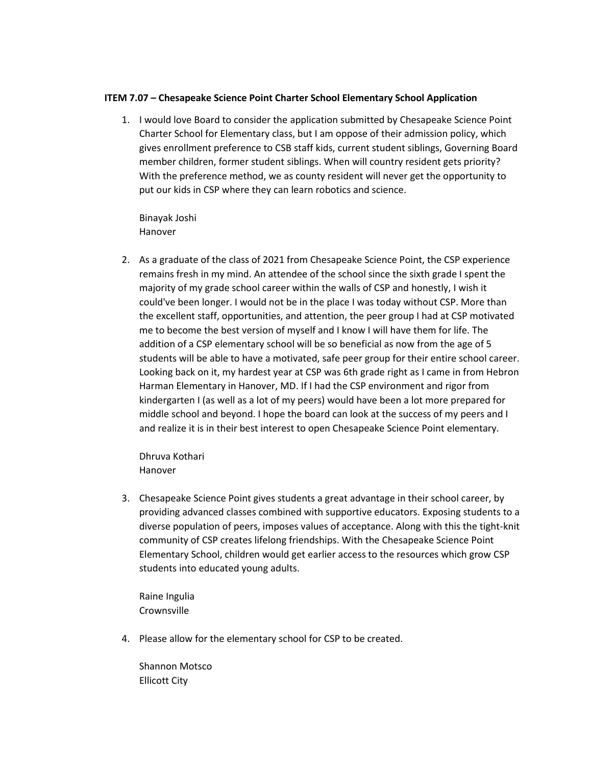#### **ITEM 7.07 – Chesapeake Science Point Charter School Elementary School Application**

1. I would love Board to consider the application submitted by Chesapeake Science Point Charter School for Elementary class, but I am oppose of their admission policy, which gives enrollment preference to CSB staff kids, current student siblings, Governing Board member children, former student siblings. When will country resident gets priority? With the preference method, we as county resident will never get the opportunity to put our kids in CSP where they can learn robotics and science.

Binayak Joshi Hanover

2. As a graduate of the class of 2021 from Chesapeake Science Point, the CSP experience remains fresh in my mind. An attendee of the school since the sixth grade I spent the majority of my grade school career within the walls of CSP and honestly, I wish it could've been longer. I would not be in the place I was today without CSP. More than the excellent staff, opportunities, and attention, the peer group I had at CSP motivated me to become the best version of myself and I know I will have them for life. The addition of a CSP elementary school will be so beneficial as now from the age of 5 students will be able to have a motivated, safe peer group for their entire school career. Looking back on it, my hardest year at CSP was 6th grade right as I came in from Hebron Harman Elementary in Hanover, MD. If I had the CSP environment and rigor from kindergarten I (as well as a lot of my peers) would have been a lot more prepared for middle school and beyond. I hope the board can look at the success of my peers and I and realize it is in their best interest to open Chesapeake Science Point elementary.

Dhruva Kothari Hanover

3. Chesapeake Science Point gives students a great advantage in their school career, by providing advanced classes combined with supportive educators. Exposing students to a diverse population of peers, imposes values of acceptance. Along with this the tight-knit community of CSP creates lifelong friendships. With the Chesapeake Science Point Elementary School, children would get earlier access to the resources which grow CSP students into educated young adults.

Raine Ingulia **Crownsville** 

4. Please allow for the elementary school for CSP to be created.

Shannon Motsco Ellicott City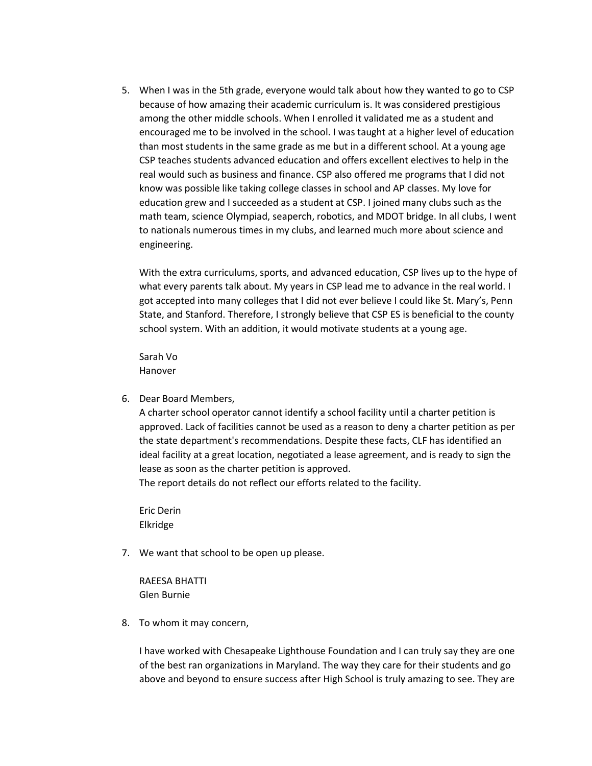5. When I was in the 5th grade, everyone would talk about how they wanted to go to CSP because of how amazing their academic curriculum is. It was considered prestigious among the other middle schools. When I enrolled it validated me as a student and encouraged me to be involved in the school. I was taught at a higher level of education than most students in the same grade as me but in a different school. At a young age CSP teaches students advanced education and offers excellent electives to help in the real would such as business and finance. CSP also offered me programs that I did not know was possible like taking college classes in school and AP classes. My love for education grew and I succeeded as a student at CSP. I joined many clubs such as the math team, science Olympiad, seaperch, robotics, and MDOT bridge. In all clubs, I went to nationals numerous times in my clubs, and learned much more about science and engineering.

With the extra curriculums, sports, and advanced education, CSP lives up to the hype of what every parents talk about. My years in CSP lead me to advance in the real world. I got accepted into many colleges that I did not ever believe I could like St. Mary's, Penn State, and Stanford. Therefore, I strongly believe that CSP ES is beneficial to the county school system. With an addition, it would motivate students at a young age.

Sarah Vo Hanover

6. Dear Board Members,

A charter school operator cannot identify a school facility until a charter petition is approved. Lack of facilities cannot be used as a reason to deny a charter petition as per the state department's recommendations. Despite these facts, CLF has identified an ideal facility at a great location, negotiated a lease agreement, and is ready to sign the lease as soon as the charter petition is approved. The report details do not reflect our efforts related to the facility.

Eric Derin Elkridge

7. We want that school to be open up please.

RAEESA BHATTI Glen Burnie

8. To whom it may concern,

I have worked with Chesapeake Lighthouse Foundation and I can truly say they are one of the best ran organizations in Maryland. The way they care for their students and go above and beyond to ensure success after High School is truly amazing to see. They are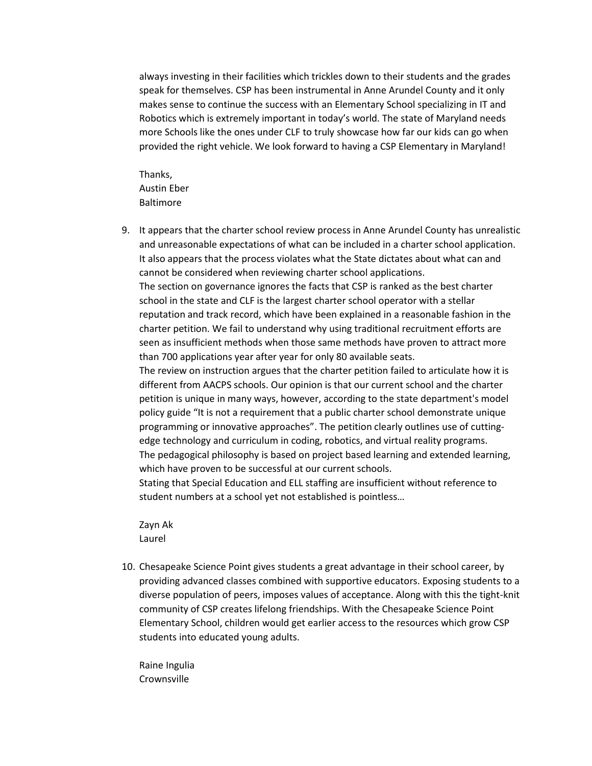always investing in their facilities which trickles down to their students and the grades speak for themselves. CSP has been instrumental in Anne Arundel County and it only makes sense to continue the success with an Elementary School specializing in IT and Robotics which is extremely important in today's world. The state of Maryland needs more Schools like the ones under CLF to truly showcase how far our kids can go when provided the right vehicle. We look forward to having a CSP Elementary in Maryland!

Thanks, Austin Eber Baltimore

9. It appears that the charter school review process in Anne Arundel County has unrealistic and unreasonable expectations of what can be included in a charter school application. It also appears that the process violates what the State dictates about what can and cannot be considered when reviewing charter school applications. The section on governance ignores the facts that CSP is ranked as the best charter school in the state and CLF is the largest charter school operator with a stellar reputation and track record, which have been explained in a reasonable fashion in the charter petition. We fail to understand why using traditional recruitment efforts are seen as insufficient methods when those same methods have proven to attract more than 700 applications year after year for only 80 available seats.

The review on instruction argues that the charter petition failed to articulate how it is different from AACPS schools. Our opinion is that our current school and the charter petition is unique in many ways, however, according to the state department's model policy guide "It is not a requirement that a public charter school demonstrate unique programming or innovative approaches". The petition clearly outlines use of cuttingedge technology and curriculum in coding, robotics, and virtual reality programs. The pedagogical philosophy is based on project based learning and extended learning, which have proven to be successful at our current schools.

Stating that Special Education and ELL staffing are insufficient without reference to student numbers at a school yet not established is pointless…

Zayn Ak Laurel

10. Chesapeake Science Point gives students a great advantage in their school career, by providing advanced classes combined with supportive educators. Exposing students to a diverse population of peers, imposes values of acceptance. Along with this the tight-knit community of CSP creates lifelong friendships. With the Chesapeake Science Point Elementary School, children would get earlier access to the resources which grow CSP students into educated young adults.

Raine Ingulia **Crownsville**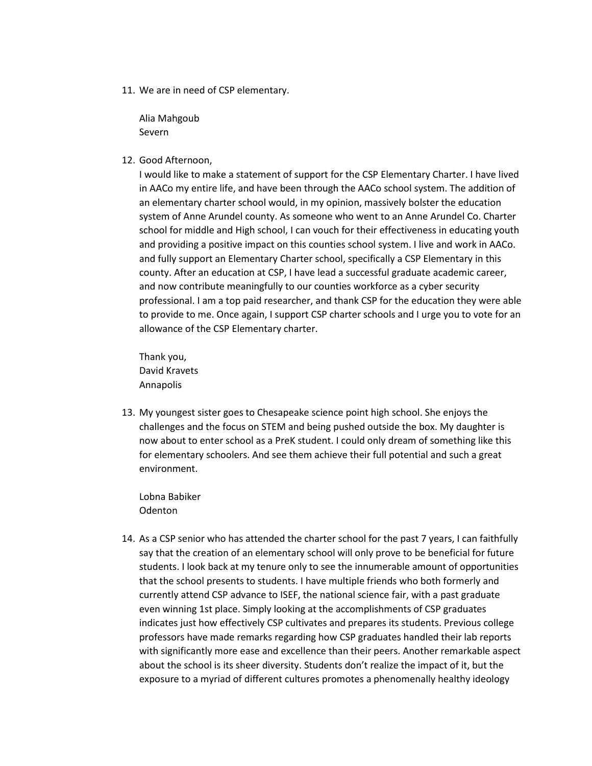11. We are in need of CSP elementary.

Alia Mahgoub Severn

12. Good Afternoon,

I would like to make a statement of support for the CSP Elementary Charter. I have lived in AACo my entire life, and have been through the AACo school system. The addition of an elementary charter school would, in my opinion, massively bolster the education system of Anne Arundel county. As someone who went to an Anne Arundel Co. Charter school for middle and High school, I can vouch for their effectiveness in educating youth and providing a positive impact on this counties school system. I live and work in AACo. and fully support an Elementary Charter school, specifically a CSP Elementary in this county. After an education at CSP, I have lead a successful graduate academic career, and now contribute meaningfully to our counties workforce as a cyber security professional. I am a top paid researcher, and thank CSP for the education they were able to provide to me. Once again, I support CSP charter schools and I urge you to vote for an allowance of the CSP Elementary charter.

Thank you, David Kravets Annapolis

13. My youngest sister goes to Chesapeake science point high school. She enjoys the challenges and the focus on STEM and being pushed outside the box. My daughter is now about to enter school as a PreK student. I could only dream of something like this for elementary schoolers. And see them achieve their full potential and such a great environment.

Lobna Babiker **Odenton** 

14. As a CSP senior who has attended the charter school for the past 7 years, I can faithfully say that the creation of an elementary school will only prove to be beneficial for future students. I look back at my tenure only to see the innumerable amount of opportunities that the school presents to students. I have multiple friends who both formerly and currently attend CSP advance to ISEF, the national science fair, with a past graduate even winning 1st place. Simply looking at the accomplishments of CSP graduates indicates just how effectively CSP cultivates and prepares its students. Previous college professors have made remarks regarding how CSP graduates handled their lab reports with significantly more ease and excellence than their peers. Another remarkable aspect about the school is its sheer diversity. Students don't realize the impact of it, but the exposure to a myriad of different cultures promotes a phenomenally healthy ideology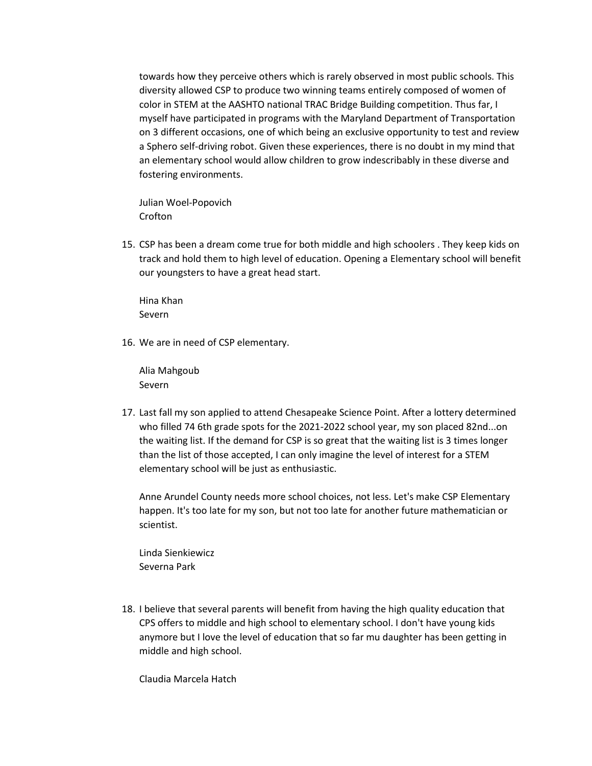towards how they perceive others which is rarely observed in most public schools. This diversity allowed CSP to produce two winning teams entirely composed of women of color in STEM at the AASHTO national TRAC Bridge Building competition. Thus far, I myself have participated in programs with the Maryland Department of Transportation on 3 different occasions, one of which being an exclusive opportunity to test and review a Sphero self-driving robot. Given these experiences, there is no doubt in my mind that an elementary school would allow children to grow indescribably in these diverse and fostering environments.

Julian Woel-Popovich Crofton

15. CSP has been a dream come true for both middle and high schoolers . They keep kids on track and hold them to high level of education. Opening a Elementary school will benefit our youngsters to have a great head start.

Hina Khan Severn

16. We are in need of CSP elementary.

Alia Mahgoub Severn

17. Last fall my son applied to attend Chesapeake Science Point. After a lottery determined who filled 74 6th grade spots for the 2021-2022 school year, my son placed 82nd...on the waiting list. If the demand for CSP is so great that the waiting list is 3 times longer than the list of those accepted, I can only imagine the level of interest for a STEM elementary school will be just as enthusiastic.

Anne Arundel County needs more school choices, not less. Let's make CSP Elementary happen. It's too late for my son, but not too late for another future mathematician or scientist.

Linda Sienkiewicz Severna Park

18. I believe that several parents will benefit from having the high quality education that CPS offers to middle and high school to elementary school. I don't have young kids anymore but I love the level of education that so far mu daughter has been getting in middle and high school.

Claudia Marcela Hatch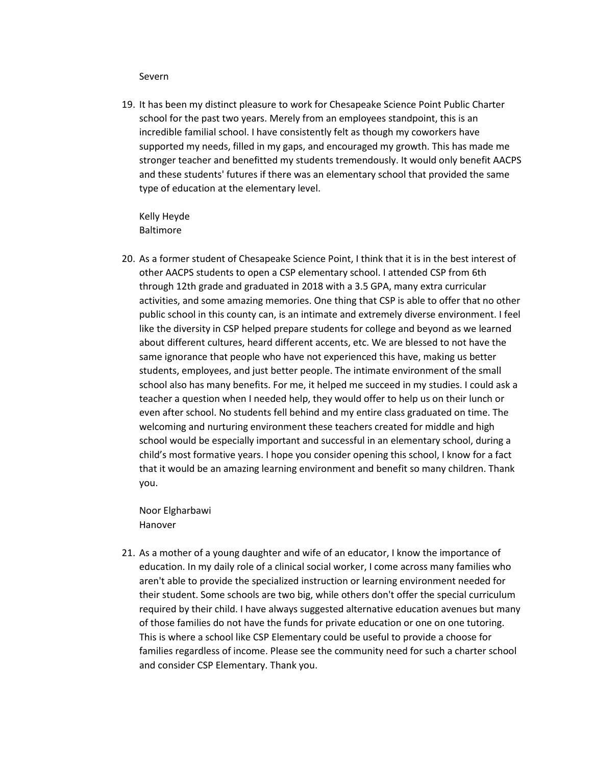#### Severn

19. It has been my distinct pleasure to work for Chesapeake Science Point Public Charter school for the past two years. Merely from an employees standpoint, this is an incredible familial school. I have consistently felt as though my coworkers have supported my needs, filled in my gaps, and encouraged my growth. This has made me stronger teacher and benefitted my students tremendously. It would only benefit AACPS and these students' futures if there was an elementary school that provided the same type of education at the elementary level.

Kelly Heyde Baltimore

20. As a former student of Chesapeake Science Point, I think that it is in the best interest of other AACPS students to open a CSP elementary school. I attended CSP from 6th through 12th grade and graduated in 2018 with a 3.5 GPA, many extra curricular activities, and some amazing memories. One thing that CSP is able to offer that no other public school in this county can, is an intimate and extremely diverse environment. I feel like the diversity in CSP helped prepare students for college and beyond as we learned about different cultures, heard different accents, etc. We are blessed to not have the same ignorance that people who have not experienced this have, making us better students, employees, and just better people. The intimate environment of the small school also has many benefits. For me, it helped me succeed in my studies. I could ask a teacher a question when I needed help, they would offer to help us on their lunch or even after school. No students fell behind and my entire class graduated on time. The welcoming and nurturing environment these teachers created for middle and high school would be especially important and successful in an elementary school, during a child's most formative years. I hope you consider opening this school, I know for a fact that it would be an amazing learning environment and benefit so many children. Thank you.

Noor Elgharbawi Hanover

21. As a mother of a young daughter and wife of an educator, I know the importance of education. In my daily role of a clinical social worker, I come across many families who aren't able to provide the specialized instruction or learning environment needed for their student. Some schools are two big, while others don't offer the special curriculum required by their child. I have always suggested alternative education avenues but many of those families do not have the funds for private education or one on one tutoring. This is where a school like CSP Elementary could be useful to provide a choose for families regardless of income. Please see the community need for such a charter school and consider CSP Elementary. Thank you.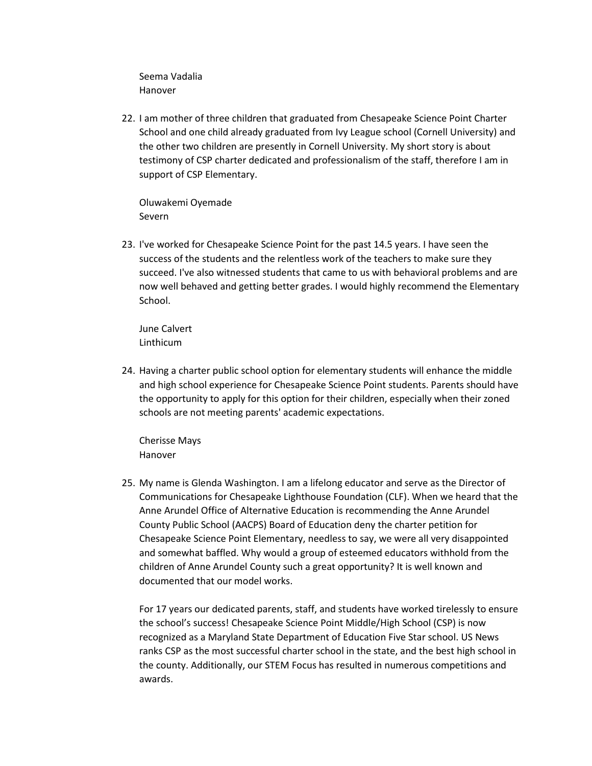Seema Vadalia Hanover

22. I am mother of three children that graduated from Chesapeake Science Point Charter School and one child already graduated from Ivy League school (Cornell University) and the other two children are presently in Cornell University. My short story is about testimony of CSP charter dedicated and professionalism of the staff, therefore I am in support of CSP Elementary.

Oluwakemi Oyemade Severn

23. I've worked for Chesapeake Science Point for the past 14.5 years. I have seen the success of the students and the relentless work of the teachers to make sure they succeed. I've also witnessed students that came to us with behavioral problems and are now well behaved and getting better grades. I would highly recommend the Elementary School.

June Calvert Linthicum

24. Having a charter public school option for elementary students will enhance the middle and high school experience for Chesapeake Science Point students. Parents should have the opportunity to apply for this option for their children, especially when their zoned schools are not meeting parents' academic expectations.

Cherisse Mays Hanover

25. My name is Glenda Washington. I am a lifelong educator and serve as the Director of Communications for Chesapeake Lighthouse Foundation (CLF). When we heard that the Anne Arundel Office of Alternative Education is recommending the Anne Arundel County Public School (AACPS) Board of Education deny the charter petition for Chesapeake Science Point Elementary, needless to say, we were all very disappointed and somewhat baffled. Why would a group of esteemed educators withhold from the children of Anne Arundel County such a great opportunity? It is well known and documented that our model works.

For 17 years our dedicated parents, staff, and students have worked tirelessly to ensure the school's success! Chesapeake Science Point Middle/High School (CSP) is now recognized as a Maryland State Department of Education Five Star school. US News ranks CSP as the most successful charter school in the state, and the best high school in the county. Additionally, our STEM Focus has resulted in numerous competitions and awards.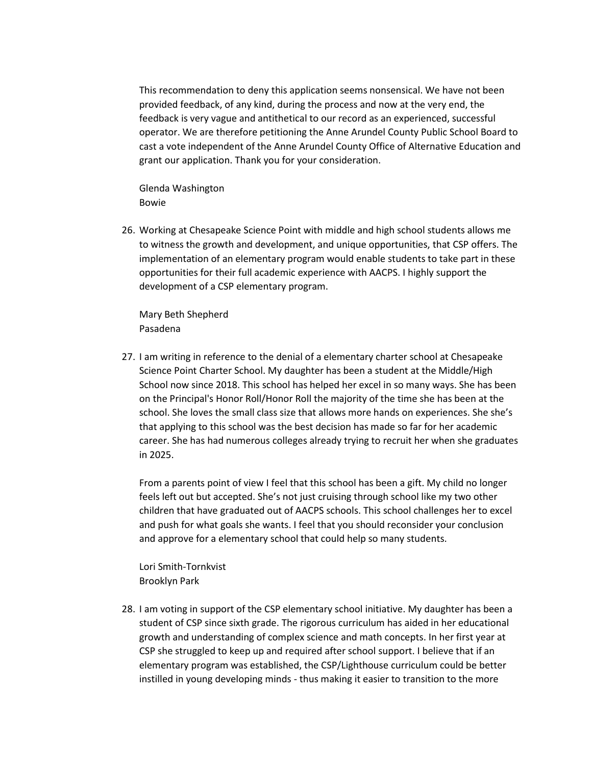This recommendation to deny this application seems nonsensical. We have not been provided feedback, of any kind, during the process and now at the very end, the feedback is very vague and antithetical to our record as an experienced, successful operator. We are therefore petitioning the Anne Arundel County Public School Board to cast a vote independent of the Anne Arundel County Office of Alternative Education and grant our application. Thank you for your consideration.

Glenda Washington Bowie

26. Working at Chesapeake Science Point with middle and high school students allows me to witness the growth and development, and unique opportunities, that CSP offers. The implementation of an elementary program would enable students to take part in these opportunities for their full academic experience with AACPS. I highly support the development of a CSP elementary program.

Mary Beth Shepherd Pasadena

27. I am writing in reference to the denial of a elementary charter school at Chesapeake Science Point Charter School. My daughter has been a student at the Middle/High School now since 2018. This school has helped her excel in so many ways. She has been on the Principal's Honor Roll/Honor Roll the majority of the time she has been at the school. She loves the small class size that allows more hands on experiences. She she's that applying to this school was the best decision has made so far for her academic career. She has had numerous colleges already trying to recruit her when she graduates in 2025.

From a parents point of view I feel that this school has been a gift. My child no longer feels left out but accepted. She's not just cruising through school like my two other children that have graduated out of AACPS schools. This school challenges her to excel and push for what goals she wants. I feel that you should reconsider your conclusion and approve for a elementary school that could help so many students.

Lori Smith-Tornkvist Brooklyn Park

28. I am voting in support of the CSP elementary school initiative. My daughter has been a student of CSP since sixth grade. The rigorous curriculum has aided in her educational growth and understanding of complex science and math concepts. In her first year at CSP she struggled to keep up and required after school support. I believe that if an elementary program was established, the CSP/Lighthouse curriculum could be better instilled in young developing minds - thus making it easier to transition to the more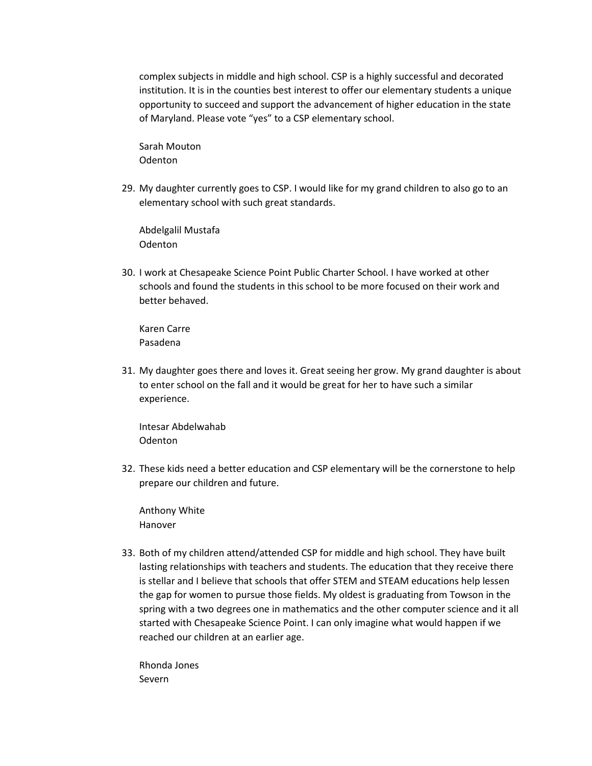complex subjects in middle and high school. CSP is a highly successful and decorated institution. It is in the counties best interest to offer our elementary students a unique opportunity to succeed and support the advancement of higher education in the state of Maryland. Please vote "yes" to a CSP elementary school.

Sarah Mouton **Odenton** 

29. My daughter currently goes to CSP. I would like for my grand children to also go to an elementary school with such great standards.

Abdelgalil Mustafa Odenton

30. I work at Chesapeake Science Point Public Charter School. I have worked at other schools and found the students in this school to be more focused on their work and better behaved.

Karen Carre Pasadena

31. My daughter goes there and loves it. Great seeing her grow. My grand daughter is about to enter school on the fall and it would be great for her to have such a similar experience.

Intesar Abdelwahab Odenton

32. These kids need a better education and CSP elementary will be the cornerstone to help prepare our children and future.

Anthony White Hanover

33. Both of my children attend/attended CSP for middle and high school. They have built lasting relationships with teachers and students. The education that they receive there is stellar and I believe that schools that offer STEM and STEAM educations help lessen the gap for women to pursue those fields. My oldest is graduating from Towson in the spring with a two degrees one in mathematics and the other computer science and it all started with Chesapeake Science Point. I can only imagine what would happen if we reached our children at an earlier age.

Rhonda Jones Severn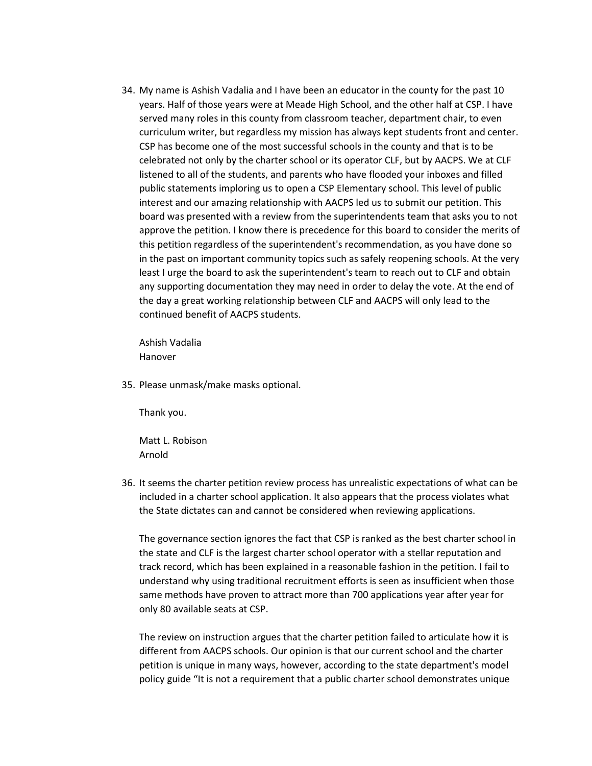34. My name is Ashish Vadalia and I have been an educator in the county for the past 10 years. Half of those years were at Meade High School, and the other half at CSP. I have served many roles in this county from classroom teacher, department chair, to even curriculum writer, but regardless my mission has always kept students front and center. CSP has become one of the most successful schools in the county and that is to be celebrated not only by the charter school or its operator CLF, but by AACPS. We at CLF listened to all of the students, and parents who have flooded your inboxes and filled public statements imploring us to open a CSP Elementary school. This level of public interest and our amazing relationship with AACPS led us to submit our petition. This board was presented with a review from the superintendents team that asks you to not approve the petition. I know there is precedence for this board to consider the merits of this petition regardless of the superintendent's recommendation, as you have done so in the past on important community topics such as safely reopening schools. At the very least I urge the board to ask the superintendent's team to reach out to CLF and obtain any supporting documentation they may need in order to delay the vote. At the end of the day a great working relationship between CLF and AACPS will only lead to the continued benefit of AACPS students.

Ashish Vadalia Hanover

35. Please unmask/make masks optional.

Thank you.

Matt L. Robison Arnold

36. It seems the charter petition review process has unrealistic expectations of what can be included in a charter school application. It also appears that the process violates what the State dictates can and cannot be considered when reviewing applications.

The governance section ignores the fact that CSP is ranked as the best charter school in the state and CLF is the largest charter school operator with a stellar reputation and track record, which has been explained in a reasonable fashion in the petition. I fail to understand why using traditional recruitment efforts is seen as insufficient when those same methods have proven to attract more than 700 applications year after year for only 80 available seats at CSP.

The review on instruction argues that the charter petition failed to articulate how it is different from AACPS schools. Our opinion is that our current school and the charter petition is unique in many ways, however, according to the state department's model policy guide "It is not a requirement that a public charter school demonstrates unique